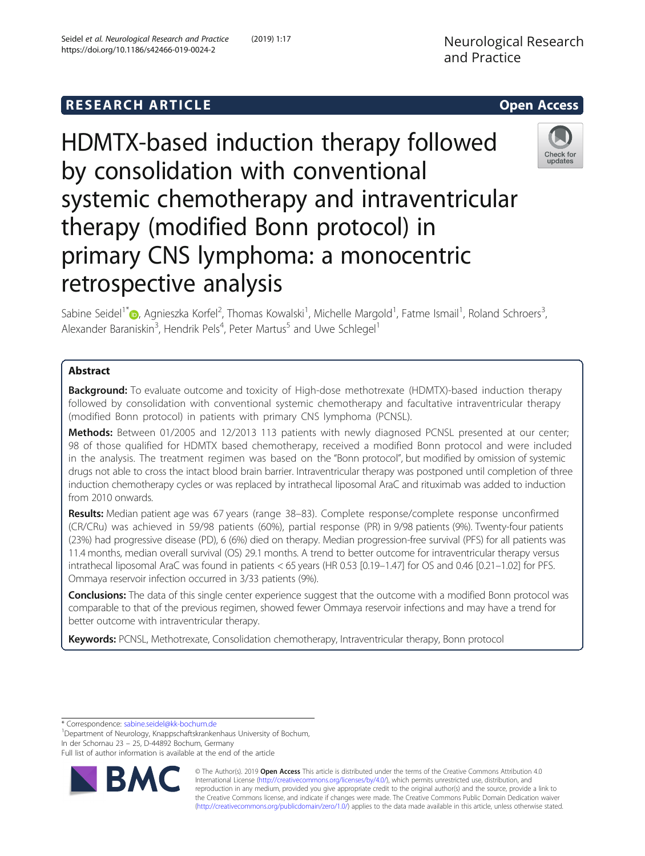# **RESEARCH ARTICLE Example 2014 12:30 The SEAR CH ACCESS**



# HDMTX-based induction therapy followed by consolidation with conventional systemic chemotherapy and intraventricular therapy (modified Bonn protocol) in primary CNS lymphoma: a monocentric retrospective analysis



Sabine Seidel<sup>1[\\*](http://orcid.org/0000-0002-1671-3297)</sup>®, Agnieszka Korfel<sup>2</sup>, Thomas Kowalski<sup>1</sup>, Michelle Margold<sup>1</sup>, Fatme Ismail<sup>1</sup>, Roland Schroers<sup>3</sup> , Alexander Baraniskin<sup>3</sup>, Hendrik Pels<sup>4</sup>, Peter Martus<sup>5</sup> and Uwe Schlegel<sup>1</sup>

# Abstract

**Background:** To evaluate outcome and toxicity of High-dose methotrexate (HDMTX)-based induction therapy followed by consolidation with conventional systemic chemotherapy and facultative intraventricular therapy (modified Bonn protocol) in patients with primary CNS lymphoma (PCNSL).

Methods: Between 01/2005 and 12/2013 113 patients with newly diagnosed PCNSL presented at our center; 98 of those qualified for HDMTX based chemotherapy, received a modified Bonn protocol and were included in the analysis. The treatment regimen was based on the "Bonn protocol", but modified by omission of systemic drugs not able to cross the intact blood brain barrier. Intraventricular therapy was postponed until completion of three induction chemotherapy cycles or was replaced by intrathecal liposomal AraC and rituximab was added to induction from 2010 onwards.

Results: Median patient age was 67 years (range 38-83). Complete response/complete response unconfirmed (CR/CRu) was achieved in 59/98 patients (60%), partial response (PR) in 9/98 patients (9%). Twenty-four patients (23%) had progressive disease (PD), 6 (6%) died on therapy. Median progression-free survival (PFS) for all patients was 11.4 months, median overall survival (OS) 29.1 months. A trend to better outcome for intraventricular therapy versus intrathecal liposomal AraC was found in patients < 65 years (HR 0.53 [0.19–1.47] for OS and 0.46 [0.21–1.02] for PFS. Ommaya reservoir infection occurred in 3/33 patients (9%).

Conclusions: The data of this single center experience suggest that the outcome with a modified Bonn protocol was comparable to that of the previous regimen, showed fewer Ommaya reservoir infections and may have a trend for better outcome with intraventricular therapy.

Keywords: PCNSL, Methotrexate, Consolidation chemotherapy, Intraventricular therapy, Bonn protocol

\* Correspondence: [sabine.seidel@kk-bochum.de](mailto:sabine.seidel@kk-bochum.de) <sup>1</sup>

<sup>1</sup>Department of Neurology, Knappschaftskrankenhaus University of Bochum, In der Schornau 23 – 25, D-44892 Bochum, Germany

Full list of author information is available at the end of the article



© The Author(s). 2019 Open Access This article is distributed under the terms of the Creative Commons Attribution 4.0 International License [\(http://creativecommons.org/licenses/by/4.0/](http://creativecommons.org/licenses/by/4.0/)), which permits unrestricted use, distribution, and reproduction in any medium, provided you give appropriate credit to the original author(s) and the source, provide a link to the Creative Commons license, and indicate if changes were made. The Creative Commons Public Domain Dedication waiver [\(http://creativecommons.org/publicdomain/zero/1.0/](http://creativecommons.org/publicdomain/zero/1.0/)) applies to the data made available in this article, unless otherwise stated.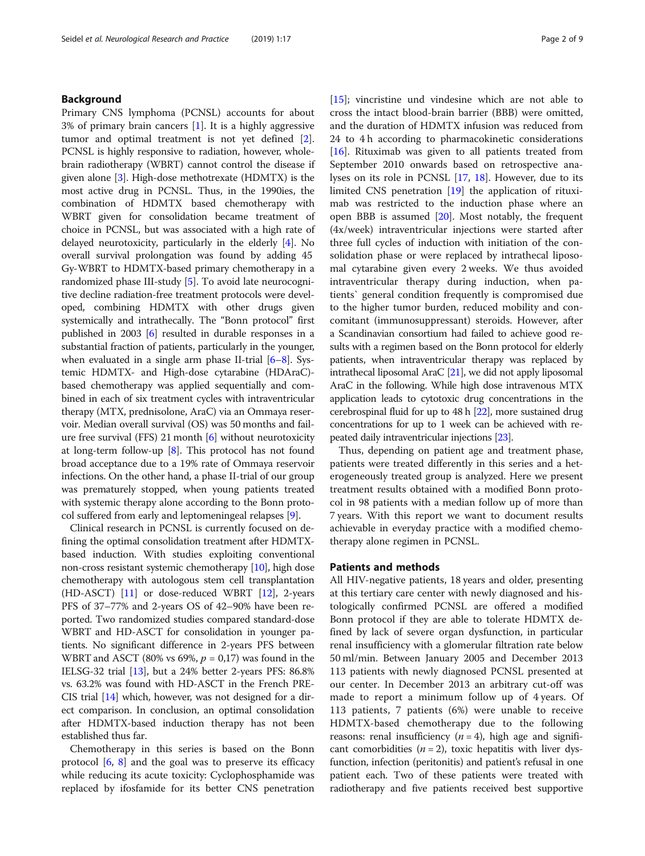# Background

Primary CNS lymphoma (PCNSL) accounts for about 3% of primary brain cancers [\[1](#page-7-0)]. It is a highly aggressive tumor and optimal treatment is not yet defined [\[2](#page-7-0)]. PCNSL is highly responsive to radiation, however, wholebrain radiotherapy (WBRT) cannot control the disease if given alone [[3](#page-7-0)]. High-dose methotrexate (HDMTX) is the most active drug in PCNSL. Thus, in the 1990ies, the combination of HDMTX based chemotherapy with WBRT given for consolidation became treatment of choice in PCNSL, but was associated with a high rate of delayed neurotoxicity, particularly in the elderly [[4](#page-7-0)]. No overall survival prolongation was found by adding 45 Gy-WBRT to HDMTX-based primary chemotherapy in a randomized phase III-study [\[5](#page-7-0)]. To avoid late neurocognitive decline radiation-free treatment protocols were developed, combining HDMTX with other drugs given systemically and intrathecally. The "Bonn protocol" first published in 2003 [[6\]](#page-7-0) resulted in durable responses in a substantial fraction of patients, particularly in the younger, when evaluated in a single arm phase II-trial  $[6-8]$  $[6-8]$  $[6-8]$ . Systemic HDMTX- and High-dose cytarabine (HDAraC) based chemotherapy was applied sequentially and combined in each of six treatment cycles with intraventricular therapy (MTX, prednisolone, AraC) via an Ommaya reservoir. Median overall survival (OS) was 50 months and failure free survival (FFS) 21 month [[6\]](#page-7-0) without neurotoxicity at long-term follow-up [\[8\]](#page-7-0). This protocol has not found broad acceptance due to a 19% rate of Ommaya reservoir infections. On the other hand, a phase II-trial of our group was prematurely stopped, when young patients treated with systemic therapy alone according to the Bonn protocol suffered from early and leptomeningeal relapses [[9\]](#page-7-0).

Clinical research in PCNSL is currently focused on defining the optimal consolidation treatment after HDMTXbased induction. With studies exploiting conventional non-cross resistant systemic chemotherapy [[10](#page-7-0)], high dose chemotherapy with autologous stem cell transplantation (HD-ASCT) [[11](#page-7-0)] or dose-reduced WBRT [[12](#page-7-0)], 2-years PFS of 37–77% and 2-years OS of 42–90% have been reported. Two randomized studies compared standard-dose WBRT and HD-ASCT for consolidation in younger patients. No significant difference in 2-years PFS between WBRT and ASCT (80% vs 69%,  $p = 0.17$ ) was found in the IELSG-32 trial [[13](#page-7-0)], but a 24% better 2-years PFS: 86.8% vs. 63.2% was found with HD-ASCT in the French PRE-CIS trial [[14\]](#page-8-0) which, however, was not designed for a direct comparison. In conclusion, an optimal consolidation after HDMTX-based induction therapy has not been established thus far.

Chemotherapy in this series is based on the Bonn protocol [\[6](#page-7-0), [8\]](#page-7-0) and the goal was to preserve its efficacy while reducing its acute toxicity: Cyclophosphamide was replaced by ifosfamide for its better CNS penetration [[15\]](#page-8-0); vincristine und vindesine which are not able to cross the intact blood-brain barrier (BBB) were omitted, and the duration of HDMTX infusion was reduced from 24 to 4 h according to pharmacokinetic considerations [[16\]](#page-8-0). Rituximab was given to all patients treated from September 2010 onwards based on retrospective analyses on its role in PCNSL [[17](#page-8-0), [18\]](#page-8-0). However, due to its limited CNS penetration [\[19\]](#page-8-0) the application of rituximab was restricted to the induction phase where an open BBB is assumed [[20\]](#page-8-0). Most notably, the frequent (4x/week) intraventricular injections were started after three full cycles of induction with initiation of the consolidation phase or were replaced by intrathecal liposomal cytarabine given every 2 weeks. We thus avoided intraventricular therapy during induction, when patients` general condition frequently is compromised due to the higher tumor burden, reduced mobility and concomitant (immunosuppressant) steroids. However, after a Scandinavian consortium had failed to achieve good results with a regimen based on the Bonn protocol for elderly patients, when intraventricular therapy was replaced by intrathecal liposomal AraC [\[21](#page-8-0)], we did not apply liposomal AraC in the following. While high dose intravenous MTX application leads to cytotoxic drug concentrations in the cerebrospinal fluid for up to 48 h [\[22\]](#page-8-0), more sustained drug concentrations for up to 1 week can be achieved with repeated daily intraventricular injections [[23](#page-8-0)].

Thus, depending on patient age and treatment phase, patients were treated differently in this series and a heterogeneously treated group is analyzed. Here we present treatment results obtained with a modified Bonn protocol in 98 patients with a median follow up of more than 7 years. With this report we want to document results achievable in everyday practice with a modified chemotherapy alone regimen in PCNSL.

## Patients and methods

All HIV-negative patients, 18 years and older, presenting at this tertiary care center with newly diagnosed and histologically confirmed PCNSL are offered a modified Bonn protocol if they are able to tolerate HDMTX defined by lack of severe organ dysfunction, in particular renal insufficiency with a glomerular filtration rate below 50 ml/min. Between January 2005 and December 2013 113 patients with newly diagnosed PCNSL presented at our center. In December 2013 an arbitrary cut-off was made to report a minimum follow up of 4 years. Of 113 patients, 7 patients (6%) were unable to receive HDMTX-based chemotherapy due to the following reasons: renal insufficiency  $(n = 4)$ , high age and significant comorbidities  $(n = 2)$ , toxic hepatitis with liver dysfunction, infection (peritonitis) and patient's refusal in one patient each. Two of these patients were treated with radiotherapy and five patients received best supportive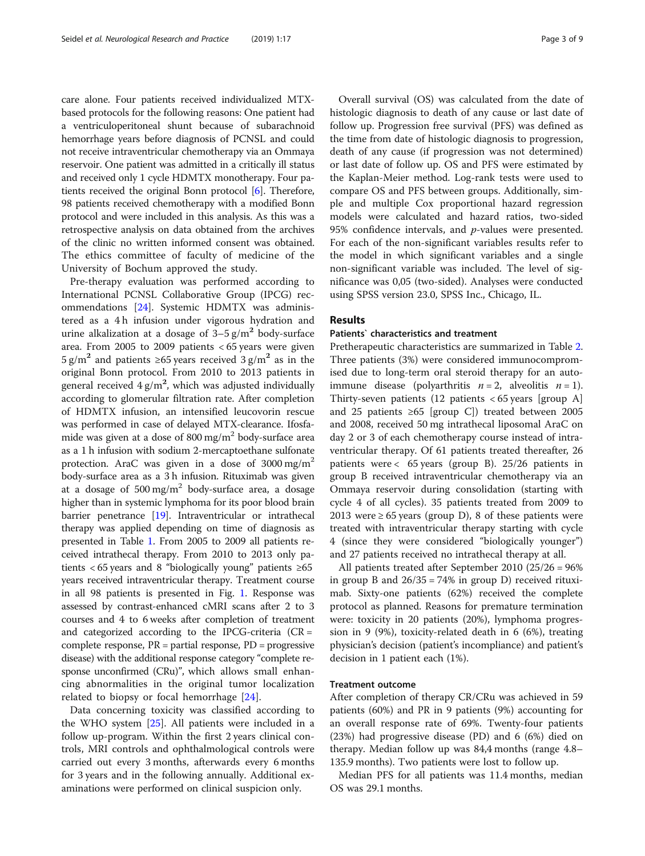care alone. Four patients received individualized MTXbased protocols for the following reasons: One patient had a ventriculoperitoneal shunt because of subarachnoid hemorrhage years before diagnosis of PCNSL and could not receive intraventricular chemotherapy via an Ommaya reservoir. One patient was admitted in a critically ill status and received only 1 cycle HDMTX monotherapy. Four patients received the original Bonn protocol [\[6](#page-7-0)]. Therefore, 98 patients received chemotherapy with a modified Bonn protocol and were included in this analysis. As this was a retrospective analysis on data obtained from the archives of the clinic no written informed consent was obtained. The ethics committee of faculty of medicine of the University of Bochum approved the study.

Pre-therapy evaluation was performed according to International PCNSL Collaborative Group (IPCG) recommendations [[24\]](#page-8-0). Systemic HDMTX was administered as a 4 h infusion under vigorous hydration and urine alkalization at a dosage of  $3-5$  g/m<sup>2</sup> body-surface area. From 2005 to 2009 patients < 65 years were given 5 g/m<sup>2</sup> and patients ≥65 years received 3 g/m<sup>2</sup> as in the original Bonn protocol. From 2010 to 2013 patients in general received 4 g/m<sup>2</sup>, which was adjusted individually according to glomerular filtration rate. After completion of HDMTX infusion, an intensified leucovorin rescue was performed in case of delayed MTX-clearance. Ifosfamide was given at a dose of 800 mg/m<sup>2</sup> body-surface area as a 1 h infusion with sodium 2-mercaptoethane sulfonate protection. AraC was given in a dose of  $3000 \text{ mg/m}^2$ body-surface area as a 3 h infusion. Rituximab was given at a dosage of  $500 \text{ mg/m}^2$  body-surface area, a dosage higher than in systemic lymphoma for its poor blood brain barrier penetrance [\[19\]](#page-8-0). Intraventricular or intrathecal therapy was applied depending on time of diagnosis as presented in Table [1](#page-3-0). From 2005 to 2009 all patients received intrathecal therapy. From 2010 to 2013 only patients  $< 65$  years and 8 "biologically young" patients  $\geq 65$ years received intraventricular therapy. Treatment course in all 98 patients is presented in Fig. [1](#page-3-0). Response was assessed by contrast-enhanced cMRI scans after 2 to 3 courses and 4 to 6 weeks after completion of treatment and categorized according to the IPCG-criteria  $(CR =$ complete response, PR = partial response, PD = progressive disease) with the additional response category "complete response unconfirmed (CRu)", which allows small enhancing abnormalities in the original tumor localization related to biopsy or focal hemorrhage [[24\]](#page-8-0).

Data concerning toxicity was classified according to the WHO system [[25](#page-8-0)]. All patients were included in a follow up-program. Within the first 2 years clinical controls, MRI controls and ophthalmological controls were carried out every 3 months, afterwards every 6 months for 3 years and in the following annually. Additional examinations were performed on clinical suspicion only.

Overall survival (OS) was calculated from the date of histologic diagnosis to death of any cause or last date of follow up. Progression free survival (PFS) was defined as the time from date of histologic diagnosis to progression, death of any cause (if progression was not determined) or last date of follow up. OS and PFS were estimated by the Kaplan-Meier method. Log-rank tests were used to compare OS and PFS between groups. Additionally, simple and multiple Cox proportional hazard regression models were calculated and hazard ratios, two-sided 95% confidence intervals, and  $p$ -values were presented. For each of the non-significant variables results refer to the model in which significant variables and a single non-significant variable was included. The level of significance was 0,05 (two-sided). Analyses were conducted using SPSS version 23.0, SPSS Inc., Chicago, IL.

# Results

## Patients` characteristics and treatment

Pretherapeutic characteristics are summarized in Table [2](#page-4-0). Three patients (3%) were considered immunocompromised due to long-term oral steroid therapy for an autoimmune disease (polyarthritis  $n = 2$ , alveolitis  $n = 1$ ). Thirty-seven patients (12 patients < 65 years [group A] and 25 patients ≥65 [group C]) treated between 2005 and 2008, received 50 mg intrathecal liposomal AraC on day 2 or 3 of each chemotherapy course instead of intraventricular therapy. Of 61 patients treated thereafter, 26 patients were < 65 years (group B). 25/26 patients in group B received intraventricular chemotherapy via an Ommaya reservoir during consolidation (starting with cycle 4 of all cycles). 35 patients treated from 2009 to 2013 were  $\geq 65$  years (group D), 8 of these patients were treated with intraventricular therapy starting with cycle 4 (since they were considered "biologically younger") and 27 patients received no intrathecal therapy at all.

All patients treated after September 2010 (25/26 = 96% in group B and  $26/35 = 74\%$  in group D) received rituximab. Sixty-one patients (62%) received the complete protocol as planned. Reasons for premature termination were: toxicity in 20 patients (20%), lymphoma progression in 9 (9%), toxicity-related death in 6 (6%), treating physician's decision (patient's incompliance) and patient's decision in 1 patient each (1%).

# Treatment outcome

After completion of therapy CR/CRu was achieved in 59 patients (60%) and PR in 9 patients (9%) accounting for an overall response rate of 69%. Twenty-four patients (23%) had progressive disease (PD) and 6 (6%) died on therapy. Median follow up was 84,4 months (range 4.8– 135.9 months). Two patients were lost to follow up.

Median PFS for all patients was 11.4 months, median OS was 29.1 months.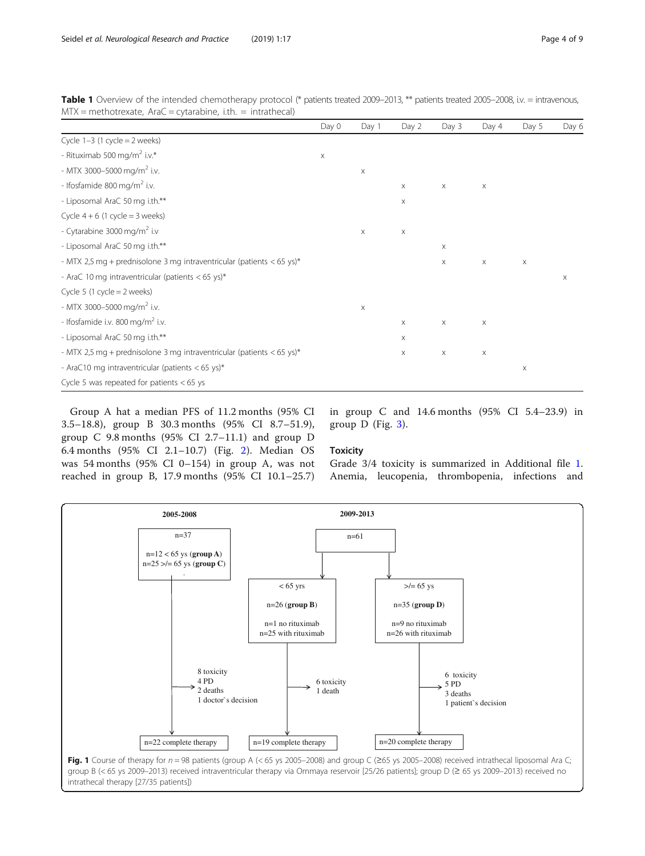|                                                                         | Day 0       | Day 1                 | Day 2                     | Day 3       | Day 4 | Day 5                 | Day 6 |
|-------------------------------------------------------------------------|-------------|-----------------------|---------------------------|-------------|-------|-----------------------|-------|
| Cycle $1-3$ (1 cycle = 2 weeks)                                         |             |                       |                           |             |       |                       |       |
| - Rituximab 500 mg/m <sup>2</sup> i.v.*                                 | $\mathsf X$ |                       |                           |             |       |                       |       |
| - MTX 3000-5000 mg/m <sup>2</sup> i.v.                                  |             | $\boldsymbol{\times}$ |                           |             |       |                       |       |
| - Ifosfamide 800 mg/m <sup>2</sup> i.v.                                 |             |                       | X                         | $\mathsf X$ | X     |                       |       |
| - Liposomal AraC 50 mg i.th.**                                          |             |                       | $\times$                  |             |       |                       |       |
| Cycle $4 + 6$ (1 cycle = 3 weeks)                                       |             |                       |                           |             |       |                       |       |
| - Cytarabine 3000 mg/m <sup>2</sup> i.v                                 |             | $\mathsf X$           | $\boldsymbol{\times}$     |             |       |                       |       |
| - Liposomal AraC 50 mg i.th.**                                          |             |                       |                           | X           |       |                       |       |
| - MTX 2,5 mg + prednisolone 3 mg intraventricular (patients $<$ 65 ys)* |             |                       |                           | X           | Χ     | X                     |       |
| - AraC 10 mg intraventricular (patients < 65 ys)*                       |             |                       |                           |             |       |                       | X     |
| Cycle 5 (1 cycle $=$ 2 weeks)                                           |             |                       |                           |             |       |                       |       |
| - MTX 3000-5000 mg/m <sup>2</sup> i.v.                                  |             | X                     |                           |             |       |                       |       |
| - Ifosfamide i.v. 800 mg/m <sup>2</sup> i.v.                            |             |                       | X                         | $\mathsf X$ | X     |                       |       |
| - Liposomal AraC 50 mg i.th.**                                          |             |                       | $\boldsymbol{\mathsf{X}}$ |             |       |                       |       |
| - MTX 2,5 mg + prednisolone 3 mg intraventricular (patients $<$ 65 ys)* |             |                       | Χ                         | X           | X     |                       |       |
| - AraC10 mg intraventricular (patients $<$ 65 ys)*                      |             |                       |                           |             |       | $\boldsymbol{\times}$ |       |
| Cycle 5 was repeated for patients $<$ 65 ys                             |             |                       |                           |             |       |                       |       |

<span id="page-3-0"></span>Table 1 Overview of the intended chemotherapy protocol (\* patients treated 2009–2013, \*\* patients treated 2005–2008, i.v. = intravenous,  $MTX =$  methotrexate,  $AraC =$  cytarabine, i.th. = intrathecal)

Group A hat a median PFS of 11.2 months (95% CI 3.5–18.8), group B 30.3 months (95% CI 8.7–51.9), group C 9.8 months (95% CI 2.7–11.1) and group D 6.4 months (95% CI 2.1–10.7) (Fig. [2\)](#page-5-0). Median OS was 54 months (95% CI 0–154) in group A, was not reached in group B, 17.9 months (95% CI 10.1–25.7)

in group C and 14.6 months (95% CI 5.4–23.9) in group  $D$  (Fig. [3](#page-5-0)).

## **Toxicity**

Grade 3/4 toxicity is summarized in Additional file [1](#page-6-0). Anemia, leucopenia, thrombopenia, infections and

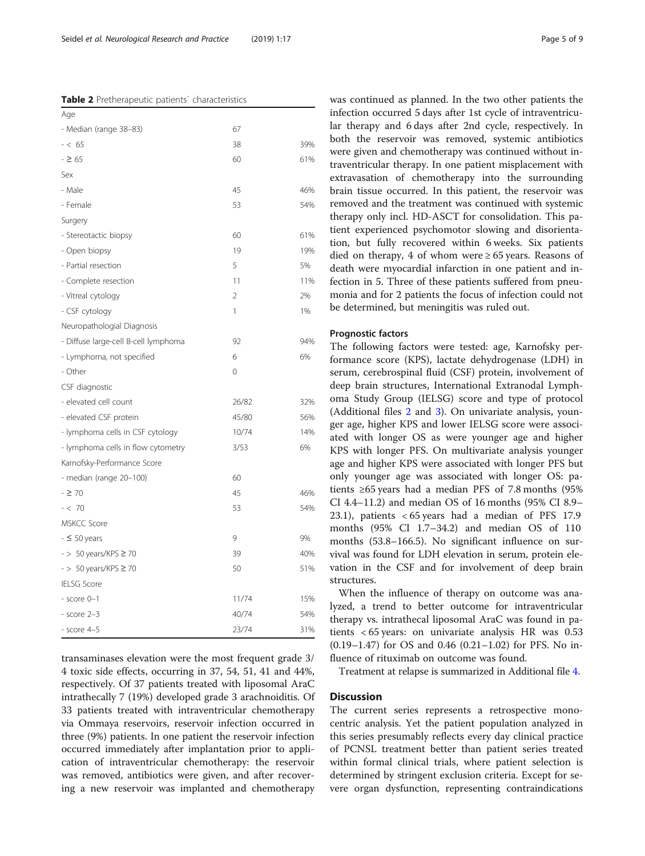<span id="page-4-0"></span>Table 2 Pretherapeutic patients' characteristics

| Age                                  |                |     |
|--------------------------------------|----------------|-----|
| - Median (range 38-83)               | 67             |     |
| $- < 65$                             | 38             | 39% |
| $-265$                               | 60             | 61% |
| Sex                                  |                |     |
| - Male                               | 45             | 46% |
| - Female                             | 53             | 54% |
| Surgery                              |                |     |
| - Stereotactic biopsy                | 60             | 61% |
| - Open biopsy                        | 19             | 19% |
| - Partial resection                  | 5              | 5%  |
| - Complete resection                 | 11             | 11% |
| - Vitreal cytology                   | $\overline{2}$ | 2%  |
| - CSF cytology                       | 1              | 1%  |
| Neuropathologial Diagnosis           |                |     |
| - Diffuse large-cell B-cell lymphoma | 92             | 94% |
| - Lymphoma, not specified            | 6              | 6%  |
| - Other                              | $\Omega$       |     |
| CSF diagnostic                       |                |     |
| - elevated cell count                | 26/82          | 32% |
| - elevated CSF protein               | 45/80          | 56% |
| - lymphoma cells in CSF cytology     | 10/74          | 14% |
| - lymphoma cells in flow cytometry   | 3/53           | 6%  |
| Karnofsky-Performance Score          |                |     |
| - median (range 20-100)              | 60             |     |
| $-270$                               | 45             | 46% |
| $- < 70$                             | 53             | 54% |
| <b>MSKCC Score</b>                   |                |     |
| $-50$ years                          | 9              | 9%  |
| $-$ > 50 years/KPS $\geq$ 70         | 39             | 40% |
| $-$ > 50 years/KPS $\geq$ 70         | 50             | 51% |
| <b>IELSG Score</b>                   |                |     |
| $-$ score $0-1$                      | 11/74          | 15% |
| $-$ score $2-3$                      | 40/74          | 54% |
| $-$ score $4-5$                      | 23/74          | 31% |

transaminases elevation were the most frequent grade 3/ 4 toxic side effects, occurring in 37, 54, 51, 41 and 44%, respectively. Of 37 patients treated with liposomal AraC intrathecally 7 (19%) developed grade 3 arachnoiditis. Of 33 patients treated with intraventricular chemotherapy via Ommaya reservoirs, reservoir infection occurred in three (9%) patients. In one patient the reservoir infection occurred immediately after implantation prior to application of intraventricular chemotherapy: the reservoir was removed, antibiotics were given, and after recovering a new reservoir was implanted and chemotherapy

was continued as planned. In the two other patients the infection occurred 5 days after 1st cycle of intraventricular therapy and 6 days after 2nd cycle, respectively. In both the reservoir was removed, systemic antibiotics were given and chemotherapy was continued without intraventricular therapy. In one patient misplacement with extravasation of chemotherapy into the surrounding brain tissue occurred. In this patient, the reservoir was removed and the treatment was continued with systemic therapy only incl. HD-ASCT for consolidation. This patient experienced psychomotor slowing and disorientation, but fully recovered within 6 weeks. Six patients died on therapy, 4 of whom were  $\geq 65$  years. Reasons of death were myocardial infarction in one patient and infection in 5. Three of these patients suffered from pneumonia and for 2 patients the focus of infection could not be determined, but meningitis was ruled out.

# Prognostic factors

The following factors were tested: age, Karnofsky performance score (KPS), lactate dehydrogenase (LDH) in serum, cerebrospinal fluid (CSF) protein, involvement of deep brain structures, International Extranodal Lymphoma Study Group (IELSG) score and type of protocol (Additional files [2](#page-7-0) and [3](#page-7-0)). On univariate analysis, younger age, higher KPS and lower IELSG score were associated with longer OS as were younger age and higher KPS with longer PFS. On multivariate analysis younger age and higher KPS were associated with longer PFS but only younger age was associated with longer OS: patients ≥65 years had a median PFS of 7.8 months (95% CI 4.4–11.2) and median OS of 16 months (95% CI 8.9– 23.1), patients < 65 years had a median of PFS 17.9 months (95% CI 1.7–34.2) and median OS of 110 months (53.8–166.5). No significant influence on survival was found for LDH elevation in serum, protein elevation in the CSF and for involvement of deep brain structures.

When the influence of therapy on outcome was analyzed, a trend to better outcome for intraventricular therapy vs. intrathecal liposomal AraC was found in patients < 65 years: on univariate analysis HR was 0.53 (0.19–1.47) for OS and 0.46 (0.21–1.02) for PFS. No influence of rituximab on outcome was found.

Treatment at relapse is summarized in Additional file [4.](#page-7-0)

# **Discussion**

The current series represents a retrospective monocentric analysis. Yet the patient population analyzed in this series presumably reflects every day clinical practice of PCNSL treatment better than patient series treated within formal clinical trials, where patient selection is determined by stringent exclusion criteria. Except for severe organ dysfunction, representing contraindications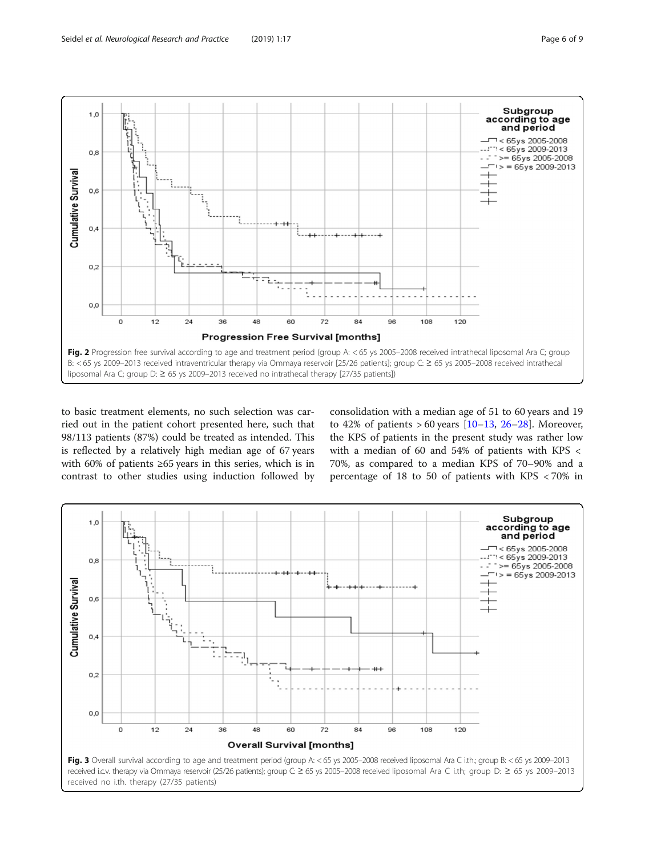<span id="page-5-0"></span>

to basic treatment elements, no such selection was carried out in the patient cohort presented here, such that 98/113 patients (87%) could be treated as intended. This is reflected by a relatively high median age of 67 years with 60% of patients ≥65 years in this series, which is in contrast to other studies using induction followed by consolidation with a median age of 51 to 60 years and 19 to 42% of patients  $> 60$  years  $[10-13, 26-28]$  $[10-13, 26-28]$  $[10-13, 26-28]$  $[10-13, 26-28]$  $[10-13, 26-28]$  $[10-13, 26-28]$  $[10-13, 26-28]$  $[10-13, 26-28]$ . Moreover, the KPS of patients in the present study was rather low with a median of 60 and 54% of patients with KPS < 70%, as compared to a median KPS of 70–90% and a percentage of 18 to 50 of patients with KPS < 70% in

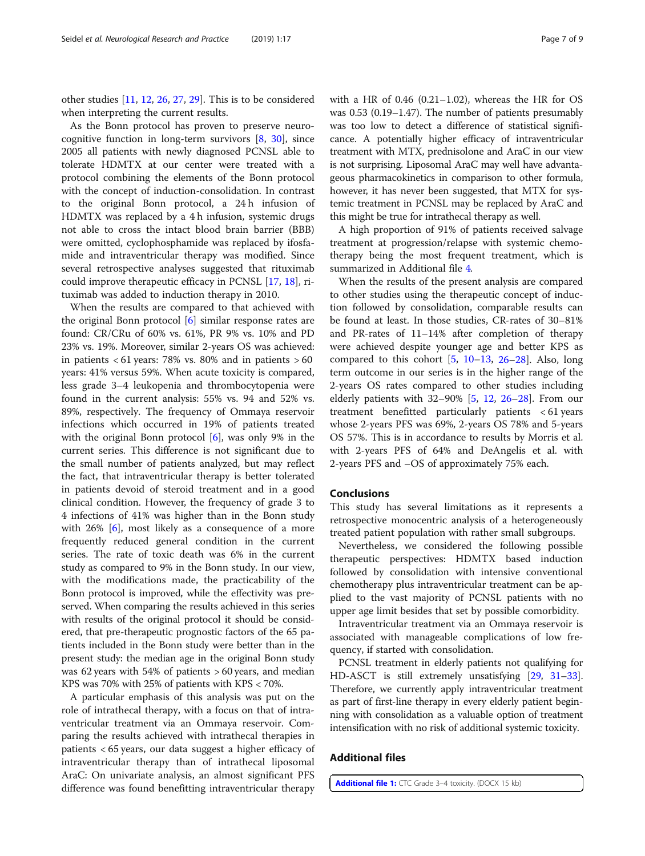<span id="page-6-0"></span>other studies [\[11](#page-7-0), [12](#page-7-0), [26,](#page-8-0) [27,](#page-8-0) [29](#page-8-0)]. This is to be considered when interpreting the current results.

As the Bonn protocol has proven to preserve neurocognitive function in long-term survivors  $[8, 30]$  $[8, 30]$  $[8, 30]$  $[8, 30]$  $[8, 30]$ , since 2005 all patients with newly diagnosed PCNSL able to tolerate HDMTX at our center were treated with a protocol combining the elements of the Bonn protocol with the concept of induction-consolidation. In contrast to the original Bonn protocol, a 24 h infusion of HDMTX was replaced by a 4 h infusion, systemic drugs not able to cross the intact blood brain barrier (BBB) were omitted, cyclophosphamide was replaced by ifosfamide and intraventricular therapy was modified. Since several retrospective analyses suggested that rituximab could improve therapeutic efficacy in PCNSL [[17,](#page-8-0) [18\]](#page-8-0), rituximab was added to induction therapy in 2010.

When the results are compared to that achieved with the original Bonn protocol  $[6]$  $[6]$  similar response rates are found: CR/CRu of 60% vs. 61%, PR 9% vs. 10% and PD 23% vs. 19%. Moreover, similar 2-years OS was achieved: in patients  $< 61$  years: 78% vs. 80% and in patients  $> 60$ years: 41% versus 59%. When acute toxicity is compared, less grade 3–4 leukopenia and thrombocytopenia were found in the current analysis: 55% vs. 94 and 52% vs. 89%, respectively. The frequency of Ommaya reservoir infections which occurred in 19% of patients treated with the original Bonn protocol  $[6]$  $[6]$ , was only 9% in the current series. This difference is not significant due to the small number of patients analyzed, but may reflect the fact, that intraventricular therapy is better tolerated in patients devoid of steroid treatment and in a good clinical condition. However, the frequency of grade 3 to 4 infections of 41% was higher than in the Bonn study with 2[6](#page-7-0)% [6], most likely as a consequence of a more frequently reduced general condition in the current series. The rate of toxic death was 6% in the current study as compared to 9% in the Bonn study. In our view, with the modifications made, the practicability of the Bonn protocol is improved, while the effectivity was preserved. When comparing the results achieved in this series with results of the original protocol it should be considered, that pre-therapeutic prognostic factors of the 65 patients included in the Bonn study were better than in the present study: the median age in the original Bonn study was 62 years with 54% of patients > 60 years, and median KPS was 70% with 25% of patients with KPS < 70%.

A particular emphasis of this analysis was put on the role of intrathecal therapy, with a focus on that of intraventricular treatment via an Ommaya reservoir. Comparing the results achieved with intrathecal therapies in patients < 65 years, our data suggest a higher efficacy of intraventricular therapy than of intrathecal liposomal AraC: On univariate analysis, an almost significant PFS difference was found benefitting intraventricular therapy with a HR of 0.46 (0.21–1.02), whereas the HR for OS was 0.53 (0.19–1.47). The number of patients presumably was too low to detect a difference of statistical significance. A potentially higher efficacy of intraventricular treatment with MTX, prednisolone and AraC in our view is not surprising. Liposomal AraC may well have advantageous pharmacokinetics in comparison to other formula, however, it has never been suggested, that MTX for systemic treatment in PCNSL may be replaced by AraC and this might be true for intrathecal therapy as well.

A high proportion of 91% of patients received salvage treatment at progression/relapse with systemic chemotherapy being the most frequent treatment, which is summarized in Additional file [4](#page-7-0).

When the results of the present analysis are compared to other studies using the therapeutic concept of induction followed by consolidation, comparable results can be found at least. In those studies, CR-rates of 30–81% and PR-rates of 11–14% after completion of therapy were achieved despite younger age and better KPS as compared to this cohort  $[5, 10-13, 26-28]$  $[5, 10-13, 26-28]$  $[5, 10-13, 26-28]$  $[5, 10-13, 26-28]$  $[5, 10-13, 26-28]$  $[5, 10-13, 26-28]$  $[5, 10-13, 26-28]$  $[5, 10-13, 26-28]$  $[5, 10-13, 26-28]$ . Also, long term outcome in our series is in the higher range of the 2-years OS rates compared to other studies including elderly patients with  $32-90\%$  [\[5,](#page-7-0) [12](#page-7-0), [26](#page-8-0)-[28](#page-8-0)]. From our treatment benefitted particularly patients < 61 years whose 2-years PFS was 69%, 2-years OS 78% and 5-years OS 57%. This is in accordance to results by Morris et al. with 2-years PFS of 64% and DeAngelis et al. with 2-years PFS and –OS of approximately 75% each.

# Conclusions

This study has several limitations as it represents a retrospective monocentric analysis of a heterogeneously treated patient population with rather small subgroups.

Nevertheless, we considered the following possible therapeutic perspectives: HDMTX based induction followed by consolidation with intensive conventional chemotherapy plus intraventricular treatment can be applied to the vast majority of PCNSL patients with no upper age limit besides that set by possible comorbidity.

Intraventricular treatment via an Ommaya reservoir is associated with manageable complications of low frequency, if started with consolidation.

PCNSL treatment in elderly patients not qualifying for HD-ASCT is still extremely unsatisfying [\[29,](#page-8-0) [31](#page-8-0)–[33](#page-8-0)]. Therefore, we currently apply intraventricular treatment as part of first-line therapy in every elderly patient beginning with consolidation as a valuable option of treatment intensification with no risk of additional systemic toxicity.

# Additional files

[Additional file 1:](https://doi.org/10.1186/s42466-019-0024-2) CTC Grade 3-4 toxicity. (DOCX 15 kb)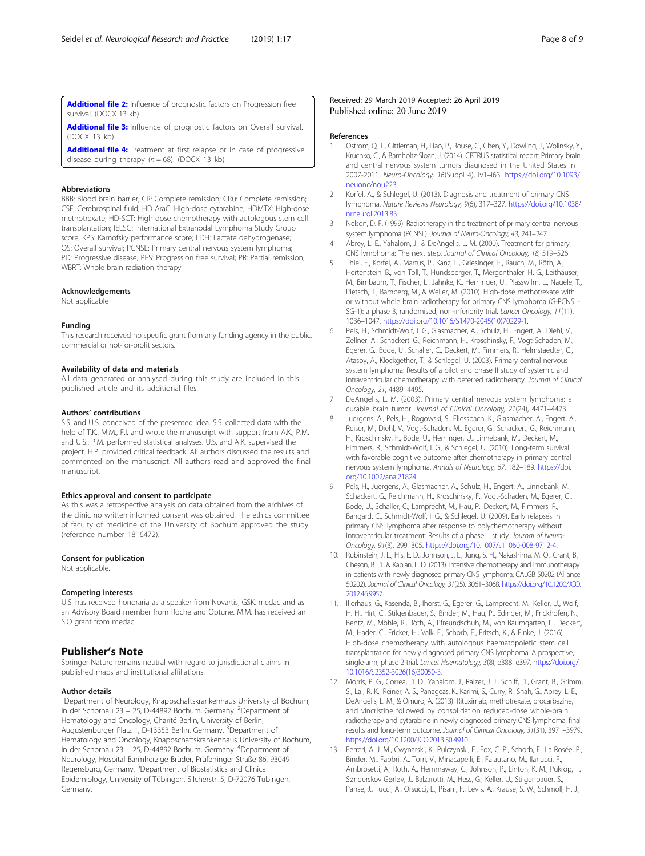<span id="page-7-0"></span>[Additional file 2:](https://doi.org/10.1186/s42466-019-0024-2) Influence of prognostic factors on Progression free survival. (DOCX 13 kb)

[Additional file 3:](https://doi.org/10.1186/s42466-019-0024-2) Influence of prognostic factors on Overall survival. (DOCX 13 kb)

[Additional file 4:](https://doi.org/10.1186/s42466-019-0024-2) Treatment at first relapse or in case of progressive disease during therapy ( $n = 68$ ). (DOCX 13 kb)

#### Abbreviations

BBB: Blood brain barrier; CR: Complete remission; CRu: Complete remission; CSF: Cerebrospinal fluid; HD AraC: High-dose cytarabine; HDMTX: High-dose methotrexate; HD-SCT: High dose chemotherapy with autologous stem cell transplantation; IELSG: International Extranodal Lymphoma Study Group score; KPS: Karnofsky performance score; LDH: Lactate dehydrogenase; OS: Overall survival; PCNSL: Primary central nervous system lymphoma; PD: Progressive disease; PFS: Progression free survival; PR: Partial remission; WBRT: Whole brain radiation therapy

#### Acknowledgements

Not applicable

#### Funding

This research received no specific grant from any funding agency in the public, commercial or not-for-profit sectors.

#### Availability of data and materials

All data generated or analysed during this study are included in this published article and its additional files.

#### Authors' contributions

S.S. and U.S. conceived of the presented idea. S.S. collected data with the help of T.K., M.M., F.I. and wrote the manuscript with support from A.K., P.M. and U.S.. P.M. performed statistical analyses. U.S. and A.K. supervised the project. H.P. provided critical feedback. All authors discussed the results and commented on the manuscript. All authors read and approved the final manuscript.

#### Ethics approval and consent to participate

As this was a retrospective analysis on data obtained from the archives of the clinic no written informed consent was obtained. The ethics committee of faculty of medicine of the University of Bochum approved the study (reference number 18–6472).

#### Consent for publication

Not applicable.

#### Competing interests

U.S. has received honoraria as a speaker from Novartis, GSK, medac and as an Advisory Board member from Roche and Optune. M.M. has received an SIO grant from medac

# Publisher's Note

Springer Nature remains neutral with regard to jurisdictional claims in published maps and institutional affiliations.

# Author details

<sup>1</sup>Department of Neurology, Knappschaftskrankenhaus University of Bochum, In der Schornau 23 - 25, D-44892 Bochum, Germany. <sup>2</sup>Department of Hematology and Oncology, Charité Berlin, University of Berlin, Augustenburger Platz 1, D-13353 Berlin, Germany. <sup>3</sup>Department of Hematology and Oncology, Knappschaftskrankenhaus University of Bochum, In der Schornau 23 – 25, D-44892 Bochum, Germany. <sup>4</sup> Department of Neurology, Hospital Barmherzige Brüder, Prüfeninger Straße 86, 93049 Regensburg, Germany. <sup>5</sup>Department of Biostatistics and Clinical Epidemiology, University of Tübingen, Silcherstr. 5, D-72076 Tübingen, Germany.

# Received: 29 March 2019 Accepted: 26 April 2019 Published online: 20 June 2019

#### References

- 1. Ostrom, Q. T., Gittleman, H., Liao, P., Rouse, C., Chen, Y., Dowling, J., Wolinsky, Y., Kruchko, C., & Barnholtz-Sloan, J. (2014). CBTRUS statistical report: Primary brain and central nervous system tumors diagnosed in the United States in 2007-2011. Neuro-Oncology, 16(Suppl 4), iv1–i63. [https://doi.org/10.1093/](https://doi.org/10.1093/neuonc/nou223) [neuonc/nou223](https://doi.org/10.1093/neuonc/nou223).
- 2. Korfel, A., & Schlegel, U. (2013). Diagnosis and treatment of primary CNS lymphoma. Nature Reviews Neurology, 9(6), 317–327. [https://doi.org/10.1038/](https://doi.org/10.1038/nrneurol.2013.83) [nrneurol.2013.83.](https://doi.org/10.1038/nrneurol.2013.83)
- 3. Nelson, D. F. (1999). Radiotherapy in the treatment of primary central nervous system lymphoma (PCNSL). Journal of Neuro-Oncology, 43, 241–247.
- 4. Abrey, L. E., Yahalom, J., & DeAngelis, L. M. (2000). Treatment for primary CNS lymphoma: The next step. Journal of Clinical Oncology, 18, 519–526.
- 5. Thiel, E., Korfel, A., Martus, P., Kanz, L., Griesinger, F., Rauch, M., Röth, A., Hertenstein, B., von Toll, T., Hundsberger, T., Mergenthaler, H. G., Leithäuser, M., Birnbaum, T., Fischer, L., Jahnke, K., Herrlinger, U., Plasswilm, L., Nägele, T., Pietsch, T., Bamberg, M., & Weller, M. (2010). High-dose methotrexate with or without whole brain radiotherapy for primary CNS lymphoma (G-PCNSL-SG-1): a phase 3, randomised, non-inferiority trial. Lancet Oncology, 11(11), 1036–1047. [https://doi.org/10.1016/S1470-2045\(10\)70229-1.](https://doi.org/10.1016/S1470-2045(10)70229-1)
- 6. Pels, H., Schmidt-Wolf, I. G., Glasmacher, A., Schulz, H., Engert, A., Diehl, V., Zellner, A., Schackert, G., Reichmann, H., Kroschinsky, F., Vogt-Schaden, M., Egerer, G., Bode, U., Schaller, C., Deckert, M., Fimmers, R., Helmstaedter, C., Atasoy, A., Klockgether, T., & Schlegel, U. (2003). Primary central nervous system lymphoma: Results of a pilot and phase II study of systemic and intraventricular chemotherapy with deferred radiotherapy. Journal of Clinical Oncology, 21, 4489–4495.
- 7. DeAngelis, L. M. (2003). Primary central nervous system lymphoma: a curable brain tumor. Journal of Clinical Oncology, 21(24), 4471–4473.
- 8. Juergens, A., Pels, H., Rogowski, S., Fliessbach, K., Glasmacher, A., Engert, A., Reiser, M., Diehl, V., Vogt-Schaden, M., Egerer, G., Schackert, G., Reichmann, H., Kroschinsky, F., Bode, U., Herrlinger, U., Linnebank, M., Deckert, M., Fimmers, R., Schmidt-Wolf, I. G., & Schlegel, U. (2010). Long-term survival with favorable cognitive outcome after chemotherapy in primary central nervous system lymphoma. Annals of Neurology, 67, 182–189. [https://doi.](https://doi.org/10.1002/ana.21824) [org/10.1002/ana.21824](https://doi.org/10.1002/ana.21824).
- 9. Pels, H., Juergens, A., Glasmacher, A., Schulz, H., Engert, A., Linnebank, M., Schackert, G., Reichmann, H., Kroschinsky, F., Vogt-Schaden, M., Egerer, G., Bode, U., Schaller, C., Lamprecht, M., Hau, P., Deckert, M., Fimmers, R., Bangard, C., Schmidt-Wolf, I. G., & Schlegel, U. (2009). Early relapses in primary CNS lymphoma after response to polychemotherapy without intraventricular treatment: Results of a phase II study. Journal of Neuro-Oncology, 91(3), 299–305. [https://doi.org/10.1007/s11060-008-9712-4.](https://doi.org/10.1007/s11060-008-9712-4)
- 10. Rubinstein, J. L., His, E. D., Johnson, J. L., Jung, S. H., Nakashima, M. O., Grant, B., Cheson, B. D., & Kaplan, L. D. (2013). Intensive chemotherapy and immunotherapy in patients with newly diagnosed primary CNS lymphoma: CALGB 50202 (Alliance 50202). Journal of Clinical Oncology, 31(25), 3061–3068. [https://doi.org/10.1200/JCO.](https://doi.org/10.1200/JCO.2012.46.9957) [2012.46.9957](https://doi.org/10.1200/JCO.2012.46.9957).
- 11. Illerhaus, G., Kasenda, B., Ihorst, G., Egerer, G., Lamprecht, M., Keller, U., Wolf, H. H., Hirt, C., Stilgenbauer, S., Binder, M., Hau, P., Edinger, M., Frickhofen, N., Bentz, M., Möhle, R., Röth, A., Pfreundschuh, M., von Baumgarten, L., Deckert, M., Hader, C., Fricker, H., Valk, E., Schorb, E., Fritsch, K., & Finke, J. (2016). High-dose chemotherapy with autologous haematopoietic stem cell transplantation for newly diagnosed primary CNS lymphoma: A prospective, single-arm, phase 2 trial. Lancet Haematology, 3(8), e388–e397. [https://doi.org/](https://doi.org/10.1016/S2352-3026(16)30050-3) [10.1016/S2352-3026\(16\)30050-3.](https://doi.org/10.1016/S2352-3026(16)30050-3)
- 12. Morris, P. G., Correa, D. D., Yahalom, J., Raizer, J. J., Schiff, D., Grant, B., Grimm, S., Lai, R. K., Reiner, A. S., Panageas, K., Karimi, S., Curry, R., Shah, G., Abrey, L. E., DeAngelis, L. M., & Omuro, A. (2013). Rituximab, methotrexate, procarbazine, and vincristine followed by consolidation reduced-dose whole-brain radiotherapy and cytarabine in newly diagnosed primary CNS lymphoma: final results and long-term outcome. Journal of Clinical Oncology, 31(31), 3971–3979. <https://doi.org/10.1200/JCO.2013.50.4910>.
- 13. Ferreri, A. J. M., Cwynarski, K., Pulczynski, E., Fox, C. P., Schorb, E., La Rosée, P., Binder, M., Fabbri, A., Torri, V., Minacapelli, E., Falautano, M., Ilariucci, F., Ambrosetti, A., Roth, A., Hemmaway, C., Johnson, P., Linton, K. M., Pukrop, T., Sønderskov Gørløv, J., Balzarotti, M., Hess, G., Keller, U., Stilgenbauer, S., Panse, J., Tucci, A., Orsucci, L., Pisani, F., Levis, A., Krause, S. W., Schmoll, H. J.,